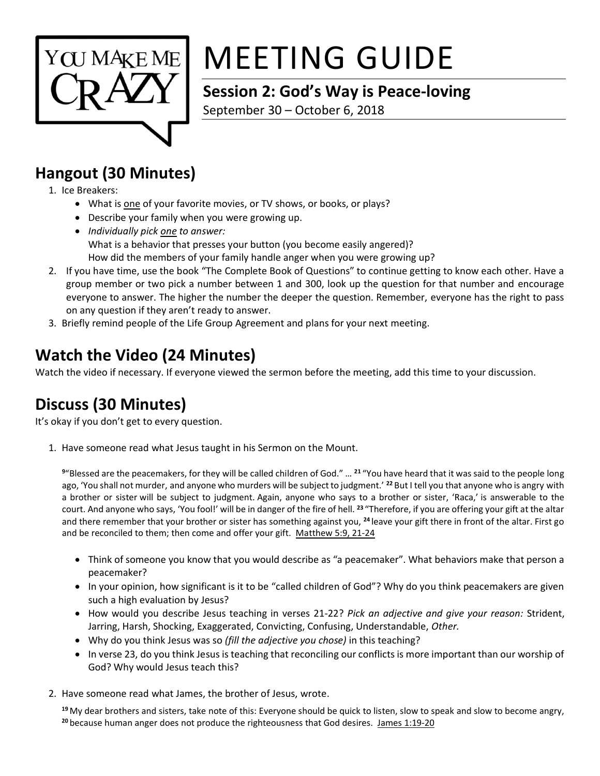

# MEETING GUIDE

## **Session 2: God's Way is Peace-loving**

September 30 – October 6, 2018

#### **Hangout (30 Minutes)**

- 1. Ice Breakers:
	- What is one of your favorite movies, or TV shows, or books, or plays?
	- Describe your family when you were growing up.
	- *Individually pick one to answer:* What is a behavior that presses your button (you become easily angered)? How did the members of your family handle anger when you were growing up?
- 2. If you have time, use the book "The Complete Book of Questions" to continue getting to know each other. Have a group member or two pick a number between 1 and 300, look up the question for that number and encourage everyone to answer. The higher the number the deeper the question. Remember, everyone has the right to pass on any question if they aren't ready to answer.
- 3. Briefly remind people of the Life Group Agreement and plans for your next meeting.

## **Watch the Video (24 Minutes)**

Watch the video if necessary. If everyone viewed the sermon before the meeting, add this time to your discussion.

#### **Discuss (30 Minutes)**

It's okay if you don't get to every question.

1. Have someone read what Jesus taught in his Sermon on the Mount.

**<sup>9</sup>**"Blessed are the peacemakers, for they will be called children of God." … **<sup>21</sup>** "You have heard that it was said to the people long ago, 'You shall not murder, and anyone who murders will be subject to judgment.' **<sup>22</sup>** But I tell you that anyone who is angry with a brother or sister will be subject to judgment. Again, anyone who says to a brother or sister, 'Raca,' is answerable to the court. And anyone who says, 'You fool!' will be in danger of the fire of hell. **<sup>23</sup>** "Therefore, if you are offering your gift at the altar and there remember that your brother or sister has something against you, **<sup>24</sup>** leave your gift there in front of the altar. First go and be reconciled to them; then come and offer your gift. Matthew 5:9, 21-24

- Think of someone you know that you would describe as "a peacemaker". What behaviors make that person a peacemaker?
- In your opinion, how significant is it to be "called children of God"? Why do you think peacemakers are given such a high evaluation by Jesus?
- How would you describe Jesus teaching in verses 21-22? *Pick an adjective and give your reason:* Strident, Jarring, Harsh, Shocking, Exaggerated, Convicting, Confusing, Understandable, *Other.*
- Why do you think Jesus was so *(fill the adjective you chose)* in this teaching?
- In verse 23, do you think Jesus is teaching that reconciling our conflicts is more important than our worship of God? Why would Jesus teach this?
- 2. Have someone read what James, the brother of Jesus, wrote.

**<sup>19</sup>** My dear brothers and sisters, take note of this: Everyone should be quick to listen, slow to speak and slow to become angry, <sup>20</sup> because human anger does not produce the righteousness that God desires. James 1:19-20